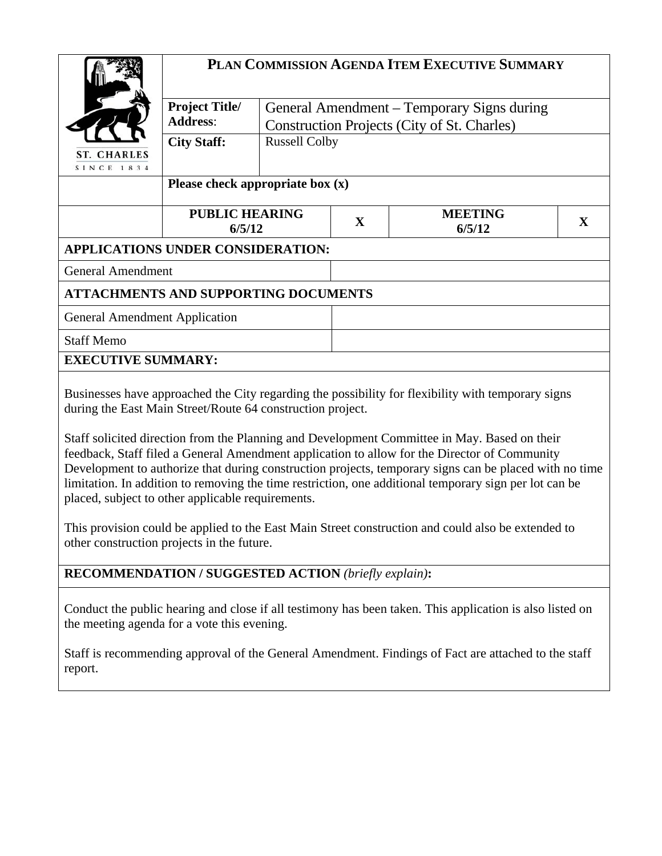|                                             | PLAN COMMISSION AGENDA ITEM EXECUTIVE SUMMARY |                                             |             |                                            |             |  |  |
|---------------------------------------------|-----------------------------------------------|---------------------------------------------|-------------|--------------------------------------------|-------------|--|--|
|                                             | <b>Project Title/</b>                         |                                             |             | General Amendment – Temporary Signs during |             |  |  |
|                                             | <b>Address:</b>                               | Construction Projects (City of St. Charles) |             |                                            |             |  |  |
|                                             | <b>City Staff:</b>                            | <b>Russell Colby</b>                        |             |                                            |             |  |  |
| <b>ST. CHARLES</b><br>SINCE 1834            |                                               |                                             |             |                                            |             |  |  |
|                                             | Please check appropriate box $(x)$            |                                             |             |                                            |             |  |  |
|                                             | <b>PUBLIC HEARING</b><br>6/5/12               |                                             | $\mathbf X$ | <b>MEETING</b><br>6/5/12                   | $\mathbf X$ |  |  |
| <b>APPLICATIONS UNDER CONSIDERATION:</b>    |                                               |                                             |             |                                            |             |  |  |
| <b>General Amendment</b>                    |                                               |                                             |             |                                            |             |  |  |
| <b>ATTACHMENTS AND SUPPORTING DOCUMENTS</b> |                                               |                                             |             |                                            |             |  |  |
| <b>General Amendment Application</b>        |                                               |                                             |             |                                            |             |  |  |
| <b>Staff Memo</b>                           |                                               |                                             |             |                                            |             |  |  |
| <b>EXECUTIVE SUMMARY:</b>                   |                                               |                                             |             |                                            |             |  |  |

Businesses have approached the City regarding the possibility for flexibility with temporary signs during the East Main Street/Route 64 construction project.

Staff solicited direction from the Planning and Development Committee in May. Based on their feedback, Staff filed a General Amendment application to allow for the Director of Community Development to authorize that during construction projects, temporary signs can be placed with no time limitation. In addition to removing the time restriction, one additional temporary sign per lot can be placed, subject to other applicable requirements.

This provision could be applied to the East Main Street construction and could also be extended to other construction projects in the future.

# **RECOMMENDATION / SUGGESTED ACTION** *(briefly explain)***:**

Conduct the public hearing and close if all testimony has been taken. This application is also listed on the meeting agenda for a vote this evening.

Staff is recommending approval of the General Amendment. Findings of Fact are attached to the staff report.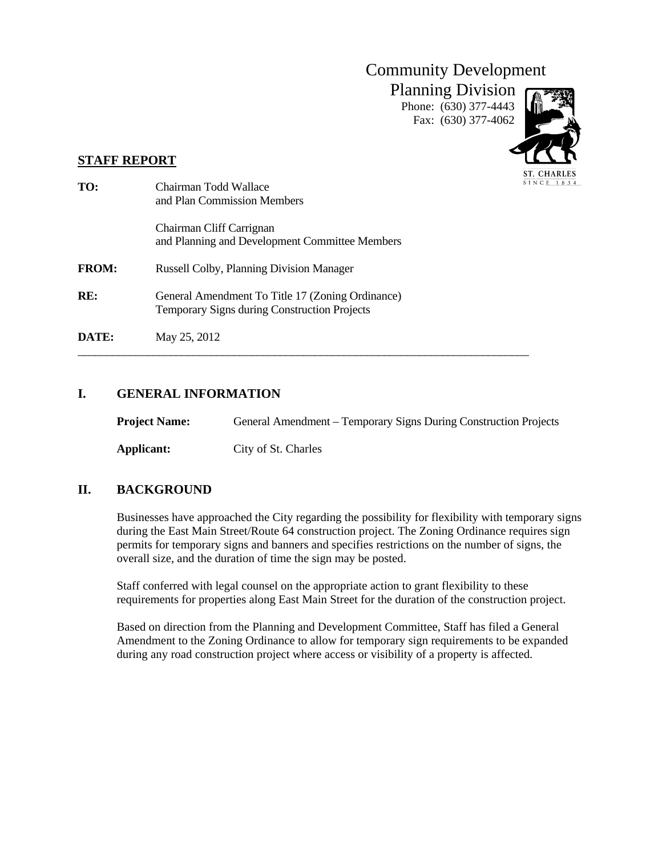# Community Development

Planning Division Phone: (630) 377-4443 Fax: (630) 377-4062



## **STAFF REPORT**

| TO:          | Chairman Todd Wallace<br>and Plan Commission Members                                             |  |
|--------------|--------------------------------------------------------------------------------------------------|--|
|              | Chairman Cliff Carrignan<br>and Planning and Development Committee Members                       |  |
| <b>FROM:</b> | Russell Colby, Planning Division Manager                                                         |  |
| RE:          | General Amendment To Title 17 (Zoning Ordinance)<br>Temporary Signs during Construction Projects |  |
| DATE:        | May 25, 2012                                                                                     |  |

## **I. GENERAL INFORMATION**

| <b>Project Name:</b> | General Amendment – Temporary Signs During Construction Projects |  |  |
|----------------------|------------------------------------------------------------------|--|--|
| <b>Applicant:</b>    | City of St. Charles                                              |  |  |

## **II. BACKGROUND**

Businesses have approached the City regarding the possibility for flexibility with temporary signs during the East Main Street/Route 64 construction project. The Zoning Ordinance requires sign permits for temporary signs and banners and specifies restrictions on the number of signs, the overall size, and the duration of time the sign may be posted.

Staff conferred with legal counsel on the appropriate action to grant flexibility to these requirements for properties along East Main Street for the duration of the construction project.

Based on direction from the Planning and Development Committee, Staff has filed a General Amendment to the Zoning Ordinance to allow for temporary sign requirements to be expanded during any road construction project where access or visibility of a property is affected.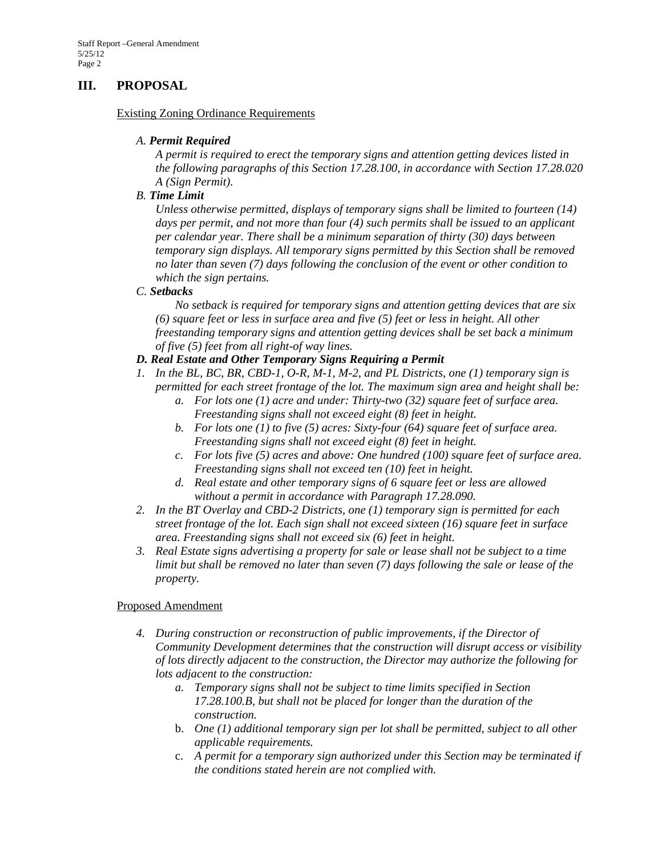# **III. PROPOSAL**

#### Existing Zoning Ordinance Requirements

#### *A. Permit Required*

*A permit is required to erect the temporary signs and attention getting devices listed in the following paragraphs of this Section 17.28.100, in accordance with Section 17.28.020 A (Sign Permit).* 

#### *B. Time Limit*

*Unless otherwise permitted, displays of temporary signs shall be limited to fourteen (14)*  days per permit, and not more than four (4) such permits shall be issued to an applicant *per calendar year. There shall be a minimum separation of thirty (30) days between temporary sign displays. All temporary signs permitted by this Section shall be removed no later than seven (7) days following the conclusion of the event or other condition to which the sign pertains.* 

#### *C. Setbacks*

*No setback is required for temporary signs and attention getting devices that are six (6) square feet or less in surface area and five (5) feet or less in height. All other freestanding temporary signs and attention getting devices shall be set back a minimum of five (5) feet from all right-of way lines.*

## *D. Real Estate and Other Temporary Signs Requiring a Permit*

- *1. In the BL, BC, BR, CBD-1, O-R, M-1, M-2, and PL Districts, one (1) temporary sign is permitted for each street frontage of the lot. The maximum sign area and height shall be:* 
	- *a. For lots one (1) acre and under: Thirty-two (32) square feet of surface area. Freestanding signs shall not exceed eight (8) feet in height.*
	- *b. For lots one (1) to five (5) acres: Sixty-four (64) square feet of surface area. Freestanding signs shall not exceed eight (8) feet in height.*
	- *c. For lots five (5) acres and above: One hundred (100) square feet of surface area. Freestanding signs shall not exceed ten (10) feet in height.*
	- *d. Real estate and other temporary signs of 6 square feet or less are allowed without a permit in accordance with Paragraph 17.28.090.*
- *2. In the BT Overlay and CBD-2 Districts, one (1) temporary sign is permitted for each street frontage of the lot. Each sign shall not exceed sixteen (16) square feet in surface area. Freestanding signs shall not exceed six (6) feet in height.*
- *3. Real Estate signs advertising a property for sale or lease shall not be subject to a time limit but shall be removed no later than seven (7) days following the sale or lease of the property.*

## Proposed Amendment

- *4. During construction or reconstruction of public improvements, if the Director of Community Development determines that the construction will disrupt access or visibility of lots directly adjacent to the construction, the Director may authorize the following for lots adjacent to the construction:* 
	- *a. Temporary signs shall not be subject to time limits specified in Section 17.28.100.B, but shall not be placed for longer than the duration of the construction.*
	- b. *One (1) additional temporary sign per lot shall be permitted, subject to all other applicable requirements.*
	- c. *A permit for a temporary sign authorized under this Section may be terminated if the conditions stated herein are not complied with.*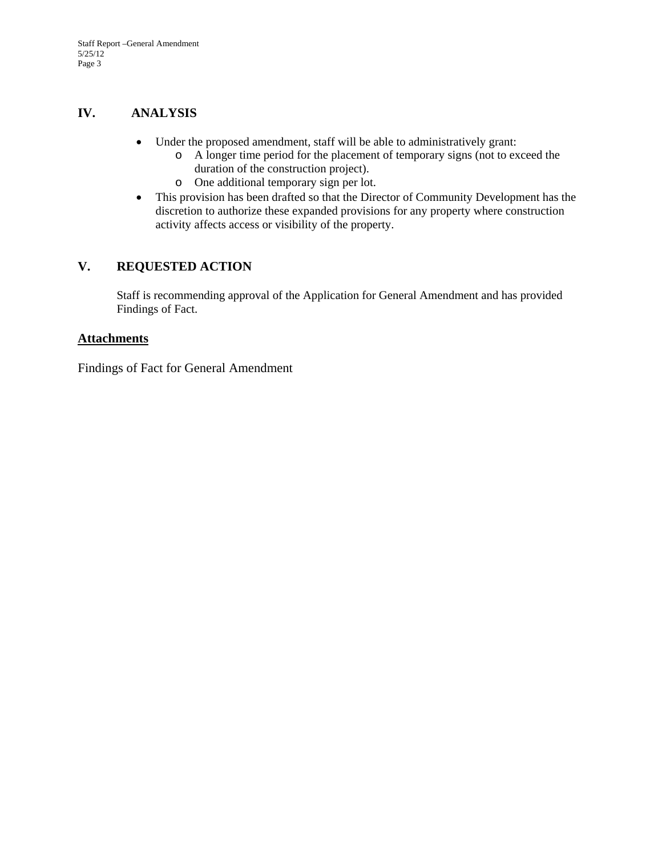# **IV. ANALYSIS**

- Under the proposed amendment, staff will be able to administratively grant:
	- o A longer time period for the placement of temporary signs (not to exceed the duration of the construction project).
	- o One additional temporary sign per lot.
- This provision has been drafted so that the Director of Community Development has the discretion to authorize these expanded provisions for any property where construction activity affects access or visibility of the property.

# **V. REQUESTED ACTION**

Staff is recommending approval of the Application for General Amendment and has provided Findings of Fact.

## **Attachments**

Findings of Fact for General Amendment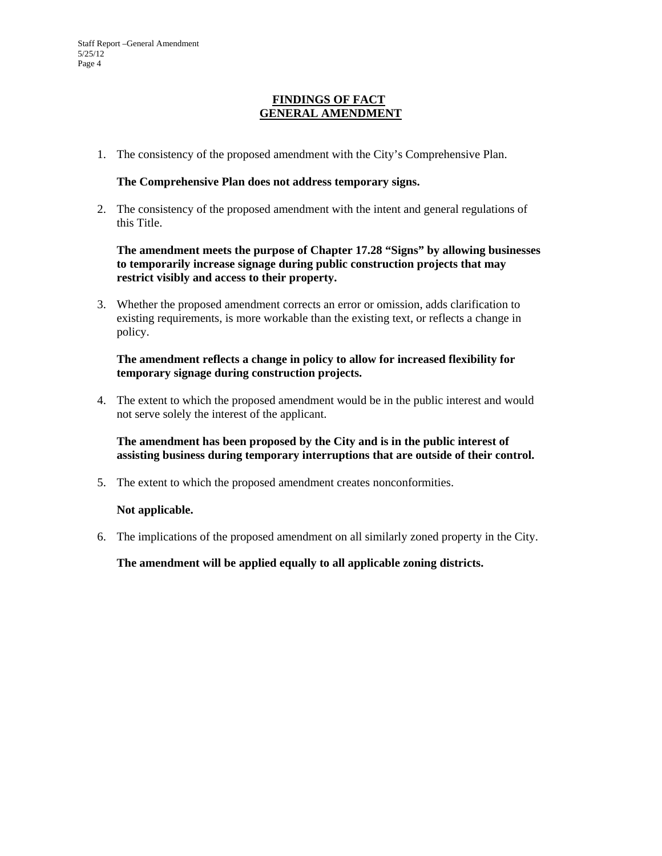## **FINDINGS OF FACT GENERAL AMENDMENT**

1. The consistency of the proposed amendment with the City's Comprehensive Plan.

#### **The Comprehensive Plan does not address temporary signs.**

2. The consistency of the proposed amendment with the intent and general regulations of this Title.

**The amendment meets the purpose of Chapter 17.28 "Signs" by allowing businesses to temporarily increase signage during public construction projects that may restrict visibly and access to their property.** 

3. Whether the proposed amendment corrects an error or omission, adds clarification to existing requirements, is more workable than the existing text, or reflects a change in policy.

**The amendment reflects a change in policy to allow for increased flexibility for temporary signage during construction projects.** 

4. The extent to which the proposed amendment would be in the public interest and would not serve solely the interest of the applicant.

**The amendment has been proposed by the City and is in the public interest of assisting business during temporary interruptions that are outside of their control.** 

5. The extent to which the proposed amendment creates nonconformities.

#### **Not applicable.**

6. The implications of the proposed amendment on all similarly zoned property in the City.

**The amendment will be applied equally to all applicable zoning districts.**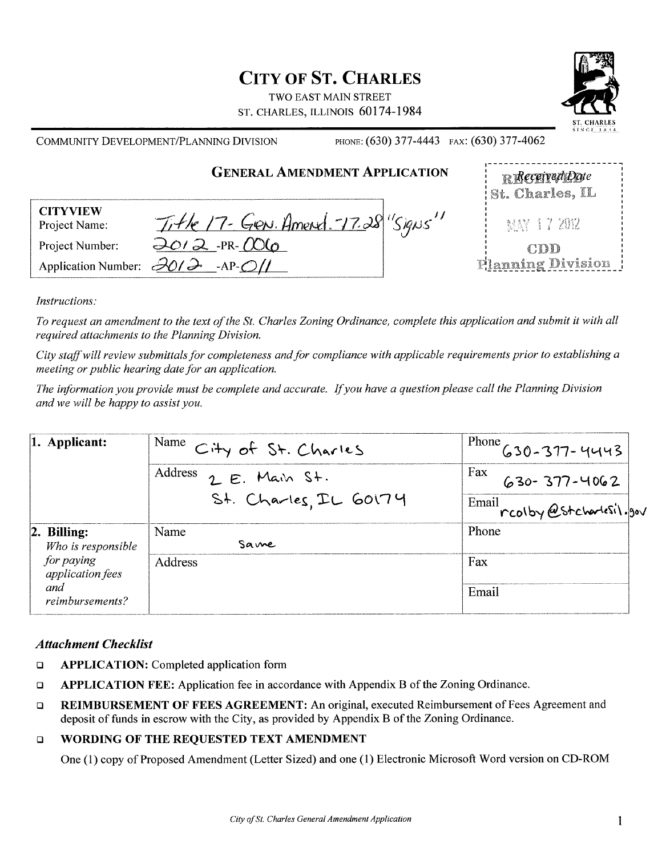# **CITY OF ST. CHARLES**

**TWO EAST MAIN STREET** ST. CHARLES, ILLINOIS 60174-1984



COMMUNITY DEVELOPMENT/PLANNING DIVISION

PHONE: (630) 377-4443 FAX: (630) 377-4062

|                                                                       | <b>GENERAL AMENDMENT APPLICATION</b><br>St. Charles, IL |                   |
|-----------------------------------------------------------------------|---------------------------------------------------------|-------------------|
| <b>CITYVIEW</b><br>Title 17- Gen. Amend 77.28"Signs"<br>Project Name: |                                                         | NAY 17 2012       |
| $2012$ -PR- $000$<br>Project Number:                                  |                                                         | CDD               |
| Application Number: $\partial Q/\partial$ -AP-O//                     |                                                         | Planning Division |

Instructions:

To request an amendment to the text of the St. Charles Zoning Ordinance, complete this application and submit it with all required attachments to the Planning Division.

City staff will review submittals for completeness and for compliance with applicable requirements prior to establishing a meeting or public hearing date for an application.

The information you provide must be complete and accurate. If you have a question please call the Planning Division and we will be happy to assist you.

| 1. Applicant:                                                                                   | Name City of St. Charles  | $1^{Phone}$ 630-377-4443         |  |
|-------------------------------------------------------------------------------------------------|---------------------------|----------------------------------|--|
|                                                                                                 | Address<br>$2E.$ Main St. | Fax<br>$630 - 377 - 4062$        |  |
|                                                                                                 | St. Charles, IL 60174     | Email<br>rcolby @stcharlesil.gov |  |
| $2.$ Billing:<br>Who is responsible<br>for paying<br>application fees<br>and<br>reimbursements? | Name<br>Same              | Phone                            |  |
|                                                                                                 | Address                   | Fax                              |  |
|                                                                                                 |                           | Email                            |  |

## **Attachment Checklist**

- $\Box$ **APPLICATION:** Completed application form
- **APPLICATION FEE:** Application fee in accordance with Appendix B of the Zoning Ordinance.  $\Box$
- REIMBURSEMENT OF FEES AGREEMENT: An original, executed Reimbursement of Fees Agreement and  $\Box$ deposit of funds in escrow with the City, as provided by Appendix B of the Zoning Ordinance.

#### WORDING OF THE REOUESTED TEXT AMENDMENT  $\Box$

One (1) copy of Proposed Amendment (Letter Sized) and one (1) Electronic Microsoft Word version on CD-ROM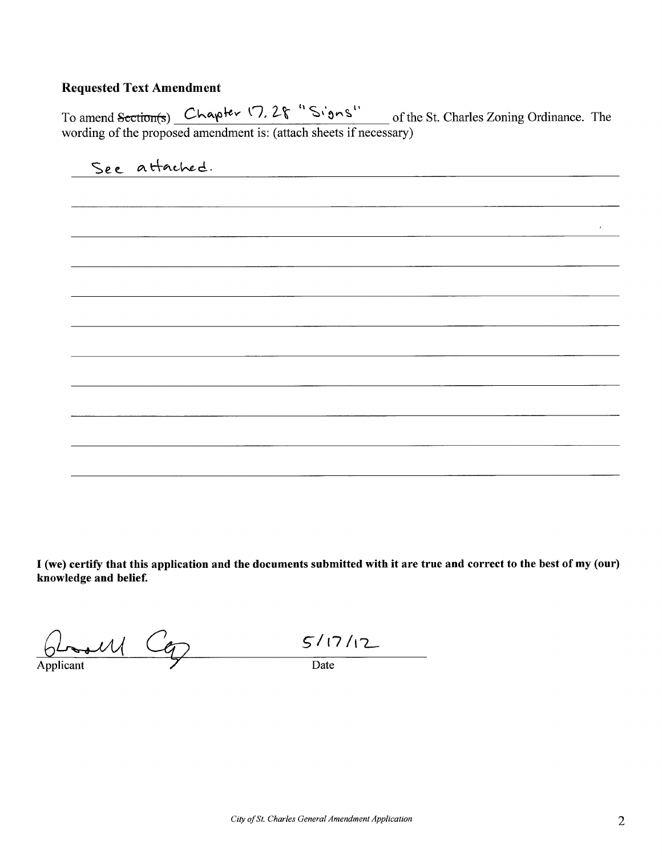# **Requested Text Amendment**

To amend Section(s) Chapter 17. 28 "Signs" of the St. Charles Zoning Ordinance. The wording of the proposed amendment is: (attach sheets if necessary)

See attached.

I (we) certify that this application and the documents submitted with it are true and correct to the best of my (our) knowledge and belief.

 $\bullet\mathcal{U}$ 

 $5/17/12$ 

Applicant

Date